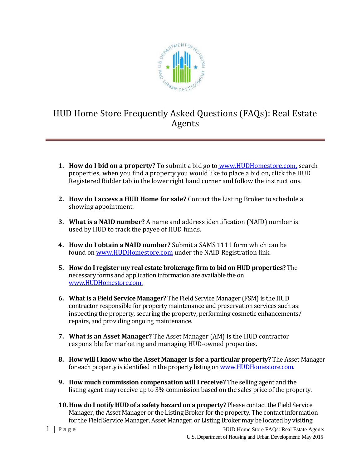

## HUD Home Store Frequently Asked Questions (FAQs): Real Estate Agents

- **1. How do I bid on a property?** To submit a bid go to [www.HUDHomestore.com,](http://www.hudhomestore.com/) search properties, when you find a property you would like to place a bid on, click the HUD Registered Bidder tab in the lower right hand corner and follow the instructions.
- **2. How do I access a HUD Home for sale?** Contact the Listing Broker to schedule a showing appointment.
- **3. What is a NAID number?** A name and address identification (NAID) number is used by HUD to track the payee of HUD funds.
- **4. How do I obtain a NAID number?** Submit a SAMS 1111 form which can be found on [www.HUDHomestore.com](http://www.hudhomestore.com/) under the NAID Registration link.
- **5. How do I register my real estate brokerage firm to bid on HUD properties?** The necessary forms and application information are available the on [www.HUDHomestore.com.](http://www.hudhomestore.com/)
- **6. What is a Field Service Manager?** The Field Service Manager (FSM) is the HUD contractor responsible for property maintenance and preservation services such as: inspecting the property, securing the property, performing cosmetic enhancements/ repairs, and providing ongoing maintenance.
- **7. What is an Asset Manager?** The Asset Manager (AM) is the HUD contractor responsible for marketing and managing HUD-owned properties.
- **8. How will I know who the Asset Manager is for a particular property?** The Asset Manager for each property is identified in the property listing on [www.HUDHomestore.com.](http://www.hudhomestore.com/)
- **9. How much commission compensation will I receive?** The selling agent and the listing agent may receive up to 3% commission based on the sales price of the property.
- **10.How do I notify HUD of a safety hazard on a property?** Please contact the Field Service Manager, the Asset Manager or the Listing Broker for the property. The contact information for the Field Service Manager, Asset Manager, or Listing Broker may be located by visiting